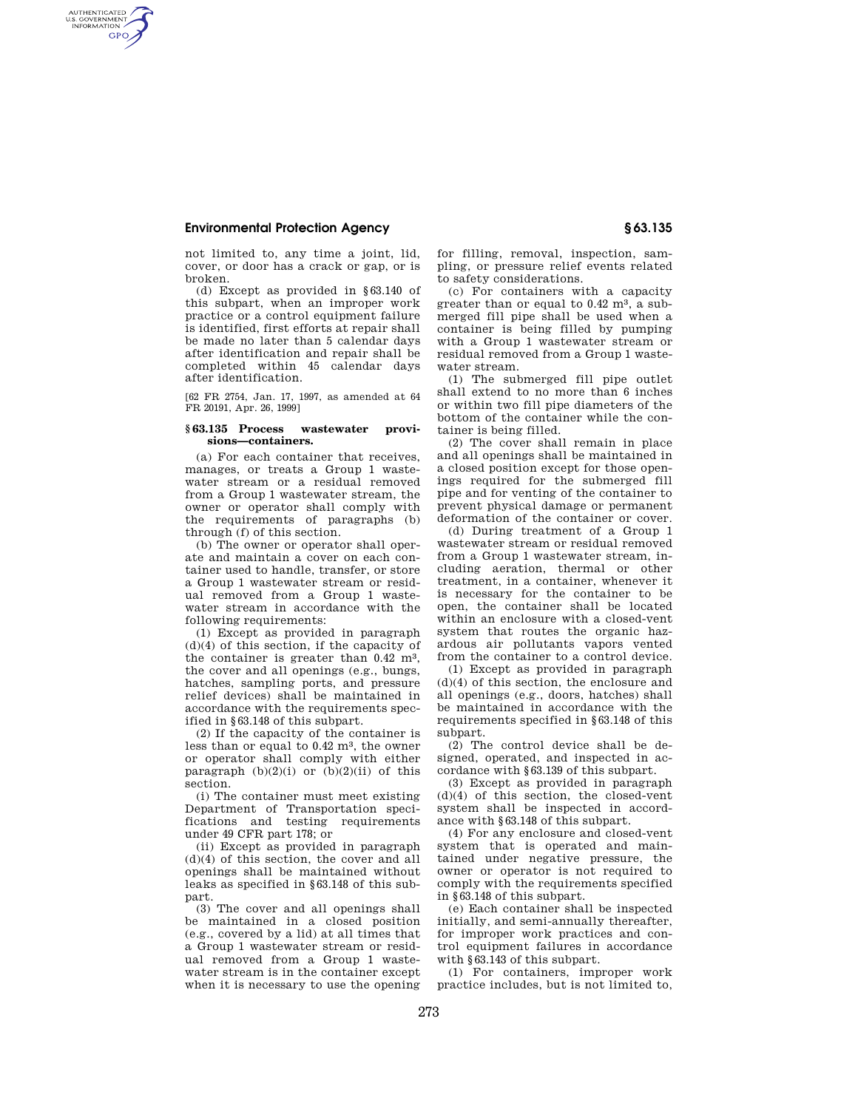## **Environmental Protection Agency § 63.135**

AUTHENTICATED<br>U.S. GOVERNMENT<br>INFORMATION **GPO** 

> not limited to, any time a joint, lid, cover, or door has a crack or gap, or is broken.

> (d) Except as provided in §63.140 of this subpart, when an improper work practice or a control equipment failure is identified, first efforts at repair shall be made no later than 5 calendar days after identification and repair shall be completed within 45 calendar days after identification.

[62 FR 2754, Jan. 17, 1997, as amended at 64 FR 20191, Apr. 26, 1999]

## **§ 63.135 Process wastewater provisions—containers.**

(a) For each container that receives, manages, or treats a Group 1 wastewater stream or a residual removed from a Group 1 wastewater stream, the owner or operator shall comply with the requirements of paragraphs (b) through (f) of this section.

(b) The owner or operator shall operate and maintain a cover on each container used to handle, transfer, or store a Group 1 wastewater stream or residual removed from a Group 1 wastewater stream in accordance with the following requirements:

(1) Except as provided in paragraph (d)(4) of this section, if the capacity of the container is greater than  $0.42 \text{ m}^3$ , the cover and all openings (e.g., bungs, hatches, sampling ports, and pressure relief devices) shall be maintained in accordance with the requirements specified in §63.148 of this subpart.

(2) If the capacity of the container is less than or equal to 0.42 m3, the owner or operator shall comply with either paragraph  $(b)(2)(i)$  or  $(b)(2)(ii)$  of this section.

(i) The container must meet existing Department of Transportation specifications and testing requirements under 49 CFR part 178; or

(ii) Except as provided in paragraph (d)(4) of this section, the cover and all openings shall be maintained without leaks as specified in §63.148 of this subpart.

(3) The cover and all openings shall be maintained in a closed position (e.g., covered by a lid) at all times that a Group 1 wastewater stream or residual removed from a Group 1 wastewater stream is in the container except when it is necessary to use the opening

for filling, removal, inspection, sampling, or pressure relief events related to safety considerations.

(c) For containers with a capacity greater than or equal to 0.42 m3, a submerged fill pipe shall be used when a container is being filled by pumping with a Group 1 wastewater stream or residual removed from a Group 1 wastewater stream.

(1) The submerged fill pipe outlet shall extend to no more than 6 inches or within two fill pipe diameters of the bottom of the container while the container is being filled.

(2) The cover shall remain in place and all openings shall be maintained in a closed position except for those openings required for the submerged fill pipe and for venting of the container to prevent physical damage or permanent deformation of the container or cover.

(d) During treatment of a Group 1 wastewater stream or residual removed from a Group 1 wastewater stream, including aeration, thermal or other treatment, in a container, whenever it is necessary for the container to be open, the container shall be located within an enclosure with a closed-vent system that routes the organic hazardous air pollutants vapors vented from the container to a control device.

(1) Except as provided in paragraph (d)(4) of this section, the enclosure and all openings (e.g., doors, hatches) shall be maintained in accordance with the requirements specified in §63.148 of this subpart.

(2) The control device shall be designed, operated, and inspected in accordance with §63.139 of this subpart.

(3) Except as provided in paragraph (d)(4) of this section, the closed-vent system shall be inspected in accordance with §63.148 of this subpart.

(4) For any enclosure and closed-vent system that is operated and maintained under negative pressure, the owner or operator is not required to comply with the requirements specified in §63.148 of this subpart.

(e) Each container shall be inspected initially, and semi-annually thereafter, for improper work practices and control equipment failures in accordance with §63.143 of this subpart.

(1) For containers, improper work practice includes, but is not limited to,